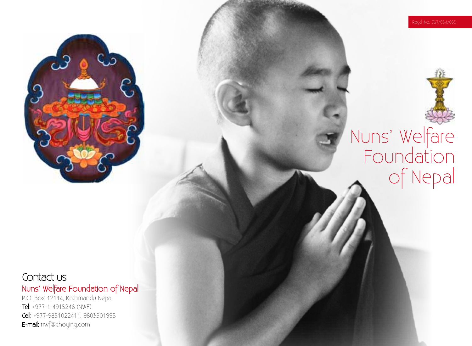



#### Contact us Nuns' Welfare Foundation of Nepal

P.O. Box 12114, Kathmandu Nepal Tel: +977-1-4915246 (NWF) Cell: +977-9851022411, 9803501995 E-mail: nwf@choying.com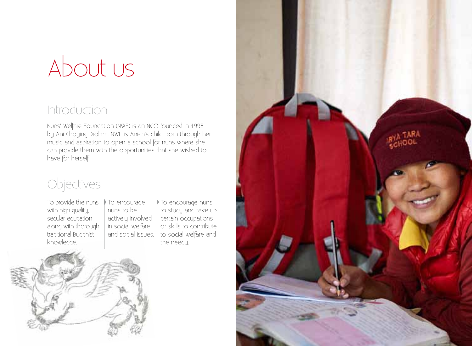## About us

#### Introduction

Nuns' Welfare Foundation (NWF) is an NGO founded in 1998 by Ani Choying Drolma. NWF is Ani-la's child, born through her music and aspiration to open a school for nuns where she can provide them with the opportunities that she wished to have for herself.

#### Objectives

To provide the nuns To encourage with high quality, secular education along with thorough traditional Buddhist knowledge.

nuns to be actively involved in social welfare and social issues.

To encourage nuns to study and take up certain occupations or skills to contribute to social welfare and the needy.



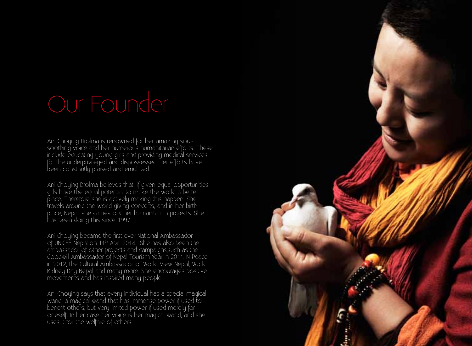Ani Choying Drolma is renowned for her amazing soulsoothing voice and her numerous humanitarian efforts. These include educating young girls and providing medical services for the underprivileged and dispossessed. Her efforts have been constantly praised and emulated.

Ani Choying Drolma believes that, if given equal opportunities, girls have the equal potential to make the world a better place. Therefore she is actively making this happen. She travels around the world giving concerts, and in her birth place, Nepal, she carries out her humanitarian projects. She has been doing this since 1997.

Ani Choying became the first ever National Ambassador of UNICEF Nepal on 11th April 2014. She has also been the ambassador of other projects and campaigns,such as the Goodwill Ambassador of Nepal Tourism Year in 2011, N-Peace in 2012, the Cultural Ambassador of World View Nepal, World Kidney Day Nepal and many more. She encourages positive movements and has inspired many people.

Ani Choying says that every individual has a special magical wand, a magical wand that has immense power if used to benefit others, but very limited power if used merely for oneself. In her case her voice is her magical wand, and she uses it for the welfare of others.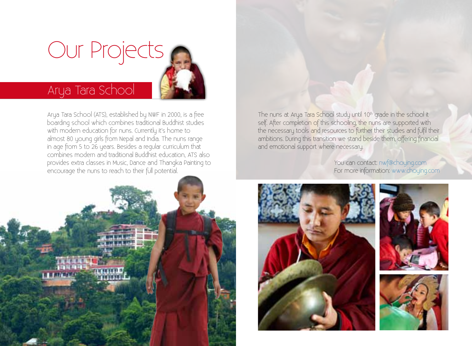# Our Projects

#### Arya Tara School

Arya Tara School (ATS), established by NWF in 2000, is a free boarding school which combines traditional Buddhist studies with modern education for nuns. Currently it's home to almost 80 young girls from Nepal and India. The nuns range in age from 5 to 26 years. Besides a regular curriculum that combines modern and traditional Buddhist education, ATS also provides extra classes in Music, Dance and Thangka Painting to encourage the nuns to reach to their full potential.



The nuns at Arya Tara School study until 10<sup>th</sup> grade in the school it self. After completion of this schooling, the nuns are supported with the necessary tools and resources to further their studies and fulfil their ambitions. During this transition we stand beside them, offering financial and emotional support where necessary.

> You can contact: nwf@choying.com For more information: www.choying.com



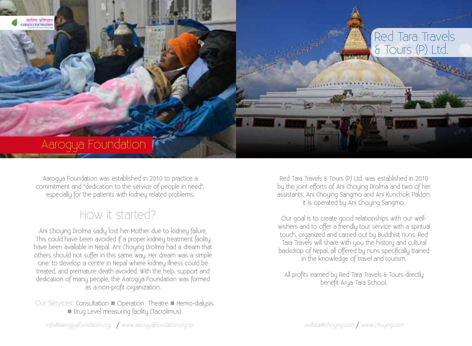

Aarogya Foundation was established in 2010 to practice a commitment and "dedication to the service of people in need", especially for the patients with kidney related problems.

#### How it started?

Ani Choying Drolma sadly lost her Mother due to kidney failure. This could have been avoided if a proper kidney treatment facility have been available in Nepal. Ani Choying Drolma had a dream that others should not suffer in this same way. Her dream was a simple one: to develop a centre in Nepal where kidney illness could be treated, and premature death avoided. With the help, support and dedication of many people, the Aarogya Foundation was formed as a non-profit organization.

Our Services: Consultation **n** Operation Theatre **n** Hemo-dialysis **n** Drug Level measuring facility (Tacrolimus)

Red Tara Travels & Tours (P) Ltd. was established in 2010 by the joint efforts of Ani Choying Drolma and two of her assistants, Ani Choying Sangmo and Ani Kunchok Paldon. It is operated by Ani Choying Sangmo.

Our goal is to create good relationships with our wellwishers and to offer a friendly tour service with a spiritual touch, organized and carried out by Buddhist nuns. Red Tara Travels will share with you the history and cultural backdrop of Nepal, all offered by nuns specifically trained in the knowledge of travel and tourism.

All profits earned by Red Tara Travels & Tours directly benefit Arya Tara School.

info@aarogyafoundation.org. / www.aarogyafoundation.org.np redtaration.org.np redtara@choying.com / www.choying.com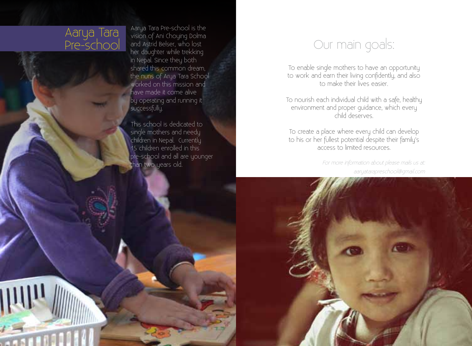#### Aarya Tara Pre-school

III

Aarya Tara Pre-school is the vision of Ani Choying Dolma and Astrid Belser, who lost her daughter while trekking in Nepal. Since they both shared this common dream, the nuns of Arya Tara School worked on this mission and have made it come alive by operating and running it successfully.

This school is dedicated to single mothers and needy children in Nepal. Currently 15 children enrolled in this pre-school and all are younger than two years old.

#### Our main goals:

To enable single mothers to have an opportunity to work and earn their living confidently, and also to make their lives easier.

To nourish each individual child with a safe, healthy environment and proper guidance, which every child deserves.

To create a place where every child can develop to his or her fullest potential despite their family's access to limited resources.

> aaryatarapreschool@gmail.com For more information about please mails us at: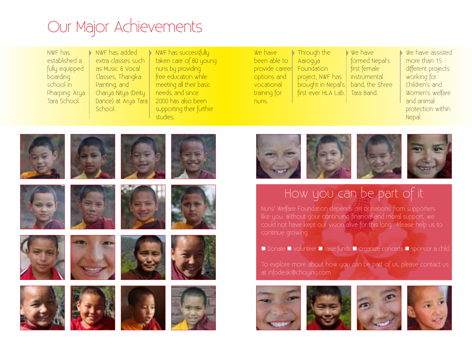### Our Major Achievements

NWF has established a fully equipped boarding school in Pharping: Arya Tara School.

NWF has added extra classes such as Music & Vocal Classes, Thangka Painting, and Charya Nitya (Deity Dance) at Arya Tara School.

NWF has successfully taken care of 80 young nuns by providing free education while meeting all their basic needs, and since 2000 has also been supporting their further studies.

We have been able to provide career options and vocational training for nuns.

Through the Aarogya **Foundation** project, NWF has brought in Nepal's first ever HLA Lab.

We have formed Nepal's first female instrumental band, the Shree Tara Band.

We have assisted more than 15 different projects working for Children's and Women's welfare and animal protection within Nepal.





#### How you can be part of it

Nuns' Welfare Foundation depends on donations from supporters like you. Without your continuing financial and moral support, we could not have kept our vision alive for this long. Please help us to

■ Donate ■ volunteer ■ raise funds ■ organize concerts ■ sponsor a child

To explore more about how you can be part of us, please contact us